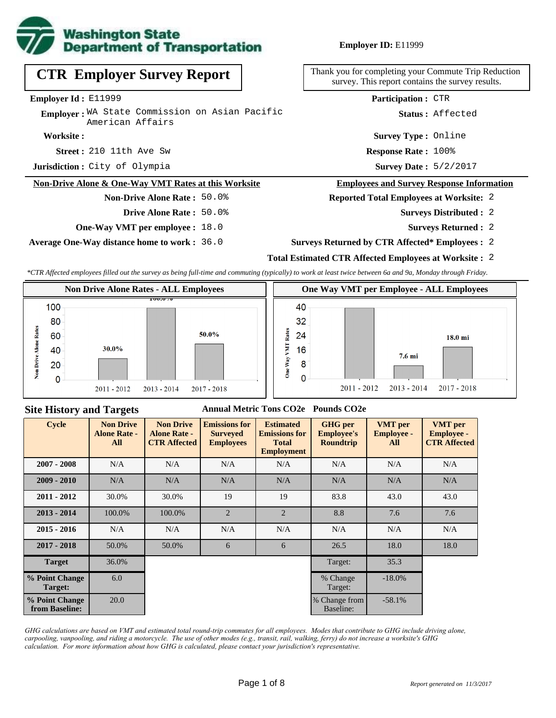

**Employer ID:** E11999

**CTR Employer Survey Report**

**Employer Id :** E11999

**Employer:** WA State Commission on Asian Pacific American Affairs

**Worksite :**

**Street :** 210 11th Ave Sw **Response Rate :** 

**Jurisdiction :** City of Olympia

#### **Non-Drive Alone & One-Way VMT Rates at this Worksite**

### **Non-Drive Alone Rate :** 50.0%

- **Drive Alone Rate :** 50.0%
- **One-Way VMT per employee :** 18.0

**Average One-Way distance home to work :** 36.0

Thank you for completing your Commute Trip Reduction survey. This report contains the survey results.

**Participation :** CTR

**Status :** Affected

**Survey Type :** Online

Response Rate: 100%

Survey Date:  $5/2/2017$ 

#### **Employees and Survey Response Information**

#### **Reported Total Employees at Worksite:** 2

- 2 **Surveys Distributed :**
	- **Surveys Returned :** 2
- **Surveys Returned by CTR Affected\* Employees :** 2

## **Total Estimated CTR Affected Employees at Worksite :** 2

*\*CTR Affected employees filled out the survey as being full-time and commuting (typically) to work at least twice between 6a and 9a, Monday through Friday.*



#### **Site History and Targets**

### **Annual Metric Tons CO2e Pounds CO2e**

| <b>Cycle</b>                     | <b>Non Drive</b><br><b>Alone Rate -</b><br>All | <b>Non Drive</b><br><b>Alone Rate -</b><br><b>CTR Affected</b> | <b>Emissions for</b><br><b>Surveyed</b><br><b>Employees</b> | <b>Estimated</b><br><b>Emissions for</b><br><b>Total</b><br><b>Employment</b> | <b>GHG</b> per<br><b>Employee's</b><br><b>Roundtrip</b> | <b>VMT</b> per<br><b>Employee -</b><br>All | <b>VMT</b> per<br><b>Employee -</b><br><b>CTR Affected</b> |
|----------------------------------|------------------------------------------------|----------------------------------------------------------------|-------------------------------------------------------------|-------------------------------------------------------------------------------|---------------------------------------------------------|--------------------------------------------|------------------------------------------------------------|
| $2007 - 2008$                    | N/A                                            | N/A                                                            | N/A                                                         | N/A                                                                           | N/A                                                     | N/A                                        | N/A                                                        |
| $2009 - 2010$                    | N/A                                            | N/A                                                            | N/A                                                         | N/A                                                                           | N/A                                                     | N/A                                        | N/A                                                        |
| $2011 - 2012$                    | 30.0%                                          | 30.0%                                                          | 19                                                          | 19                                                                            | 83.8                                                    | 43.0                                       | 43.0                                                       |
| $2013 - 2014$                    | 100.0%                                         | 100.0%                                                         | $\overline{2}$                                              | $\overline{2}$                                                                | 8.8                                                     | 7.6                                        | 7.6                                                        |
| $2015 - 2016$                    | N/A                                            | N/A                                                            | N/A                                                         | N/A                                                                           | N/A                                                     | N/A                                        | N/A                                                        |
| $2017 - 2018$                    | 50.0%                                          | 50.0%                                                          | 6                                                           | 6                                                                             | 26.5                                                    | 18.0                                       | 18.0                                                       |
| <b>Target</b>                    | 36.0%                                          |                                                                |                                                             |                                                                               | Target:                                                 | 35.3                                       |                                                            |
| % Point Change<br>Target:        | 6.0                                            |                                                                |                                                             |                                                                               | % Change<br>Target:                                     | $-18.0\%$                                  |                                                            |
| % Point Change<br>from Baseline: | 20.0                                           |                                                                |                                                             |                                                                               | % Change from<br>Baseline:                              | $-58.1%$                                   |                                                            |

*GHG calculations are based on VMT and estimated total round-trip commutes for all employees. Modes that contribute to GHG include driving alone, carpooling, vanpooling, and riding a motorcycle. The use of other modes (e.g., transit, rail, walking, ferry) do not increase a worksite's GHG calculation. For more information about how GHG is calculated, please contact your jurisdiction's representative.*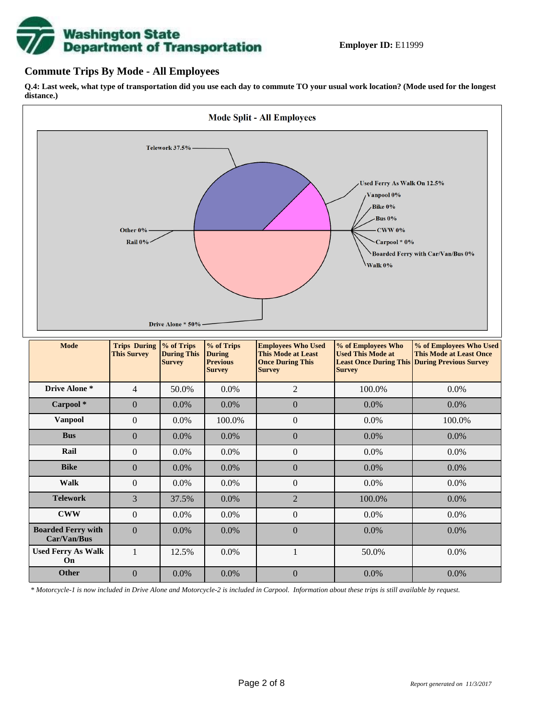

## **Commute Trips By Mode - All Employees**

**Q.4: Last week, what type of transportation did you use each day to commute TO your usual work location? (Mode used for the longest distance.)**



*\* Motorcycle-1 is now included in Drive Alone and Motorcycle-2 is included in Carpool. Information about these trips is still available by request.*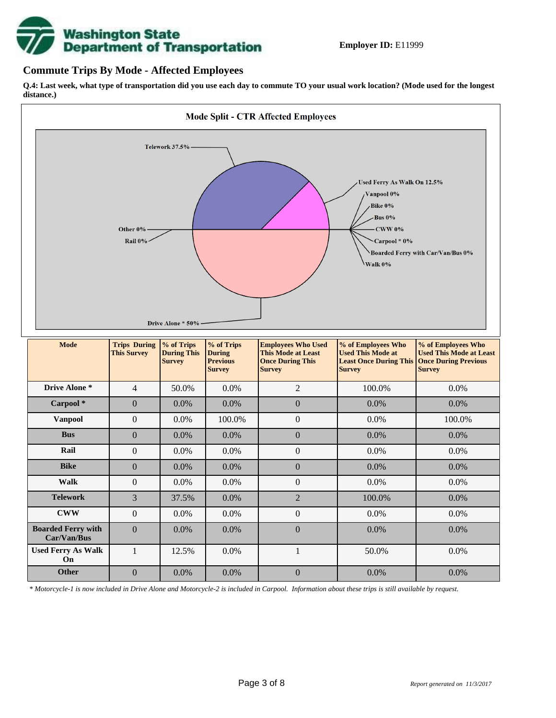

## **Commute Trips By Mode - Affected Employees**

**Q.4: Last week, what type of transportation did you use each day to commute TO your usual work location? (Mode used for the longest distance.)**



*\* Motorcycle-1 is now included in Drive Alone and Motorcycle-2 is included in Carpool. Information about these trips is still available by request.*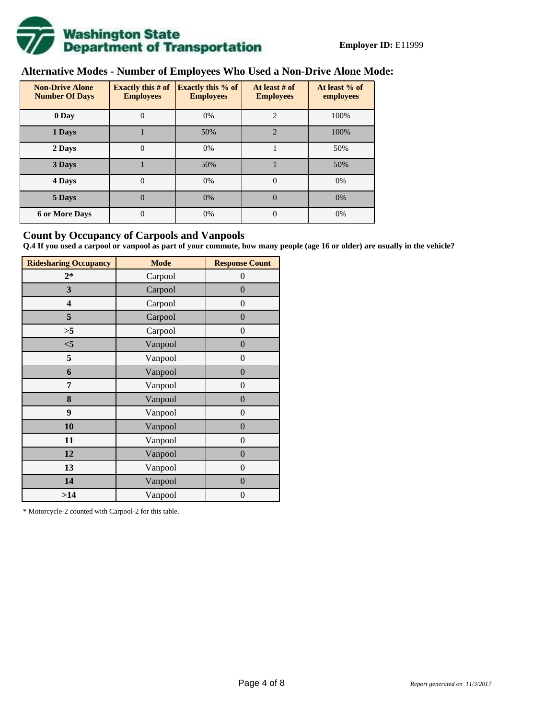

# **Alternative Modes - Number of Employees Who Used a Non-Drive Alone Mode:**

| <b>Non-Drive Alone</b><br><b>Number Of Days</b> | Exactly this $# of$<br><b>Employees</b> | <b>Exactly this % of</b><br><b>Employees</b> | At least # of<br><b>Employees</b> | At least % of<br>employees |
|-------------------------------------------------|-----------------------------------------|----------------------------------------------|-----------------------------------|----------------------------|
| 0 Day                                           | $\theta$                                | 0%                                           | $\overline{c}$                    | 100%                       |
| 1 Days                                          |                                         | 50%                                          | $\mathfrak{D}$                    | 100%                       |
| 2 Days                                          | 0                                       | 0%                                           |                                   | 50%                        |
| 3 Days                                          |                                         | 50%                                          |                                   | 50%                        |
| 4 Days                                          | $\theta$                                | 0%                                           | $\Omega$                          | 0%                         |
| 5 Days                                          | $\overline{0}$                          | 0%                                           | $\theta$                          | 0%                         |
| <b>6 or More Days</b>                           | $\theta$                                | 0%                                           | $\Omega$                          | 0%                         |

## **Count by Occupancy of Carpools and Vanpools**

**Q.4 If you used a carpool or vanpool as part of your commute, how many people (age 16 or older) are usually in the vehicle?**

| <b>Ridesharing Occupancy</b> | <b>Mode</b> | <b>Response Count</b> |
|------------------------------|-------------|-----------------------|
| $2*$                         | Carpool     | 0                     |
| 3                            | Carpool     | $\overline{0}$        |
| 4                            | Carpool     | $\boldsymbol{0}$      |
| 5                            | Carpool     | $\boldsymbol{0}$      |
| >5                           | Carpool     | $\overline{0}$        |
| $<$ 5                        | Vanpool     | $\overline{0}$        |
| 5                            | Vanpool     | $\overline{0}$        |
| 6                            | Vanpool     | $\boldsymbol{0}$      |
| 7                            | Vanpool     | $\overline{0}$        |
| 8                            | Vanpool     | $\boldsymbol{0}$      |
| 9                            | Vanpool     | $\overline{0}$        |
| 10                           | Vanpool     | $\overline{0}$        |
| 11                           | Vanpool     | $\boldsymbol{0}$      |
| 12                           | Vanpool     | $\boldsymbol{0}$      |
| 13                           | Vanpool     | $\boldsymbol{0}$      |
| 14                           | Vanpool     | $\overline{0}$        |
| >14                          | Vanpool     | $\boldsymbol{0}$      |

\* Motorcycle-2 counted with Carpool-2 for this table.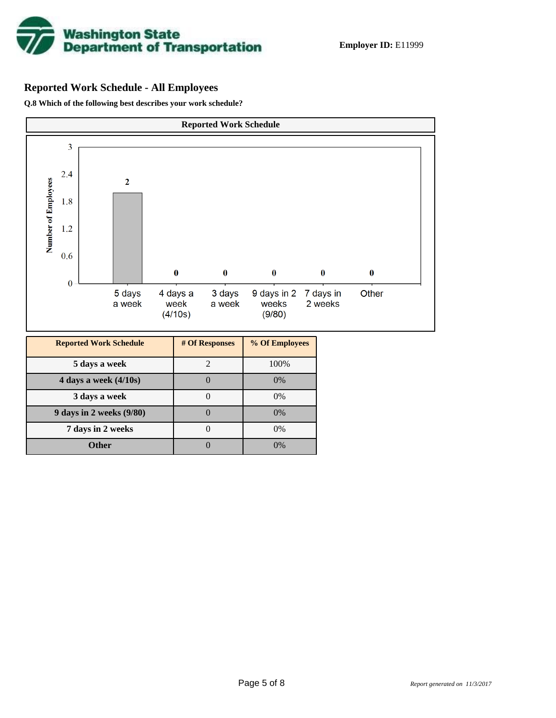

## **Reported Work Schedule - All Employees**

**Q.8 Which of the following best describes your work schedule?**

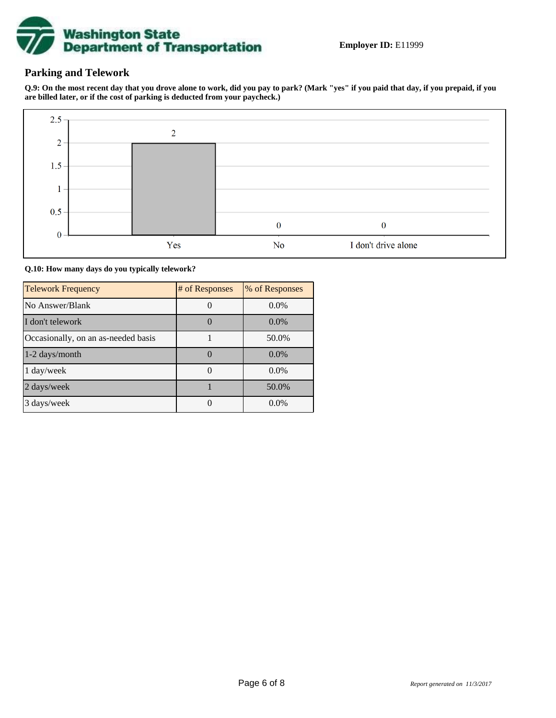

## **Parking and Telework**

**Q.9: On the most recent day that you drove alone to work, did you pay to park? (Mark "yes" if you paid that day, if you prepaid, if you are billed later, or if the cost of parking is deducted from your paycheck.)**



**Q.10: How many days do you typically telework?**

| <b>Telework Frequency</b>           | # of Responses | % of Responses |
|-------------------------------------|----------------|----------------|
| No Answer/Blank                     |                | $0.0\%$        |
| I don't telework                    |                | $0.0\%$        |
| Occasionally, on an as-needed basis |                | 50.0%          |
| 1-2 days/month                      |                | $0.0\%$        |
| $1 \text{ day/week}$                |                | $0.0\%$        |
| 2 days/week                         |                | 50.0%          |
| 3 days/week                         |                | $0.0\%$        |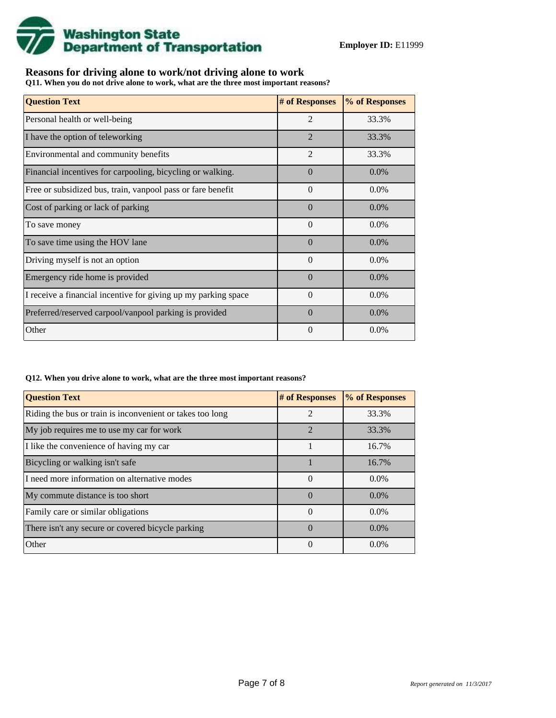

## **Reasons for driving alone to work/not driving alone to work**

**Q11. When you do not drive alone to work, what are the three most important reasons?**

| <b>Question Text</b>                                           | # of Responses | % of Responses |
|----------------------------------------------------------------|----------------|----------------|
| Personal health or well-being                                  | $\overline{2}$ | 33.3%          |
| I have the option of teleworking                               | $\mathfrak{D}$ | 33.3%          |
| Environmental and community benefits                           | $\mathfrak{D}$ | 33.3%          |
| Financial incentives for carpooling, bicycling or walking.     | $\Omega$       | $0.0\%$        |
| Free or subsidized bus, train, vanpool pass or fare benefit    | $\Omega$       | $0.0\%$        |
| Cost of parking or lack of parking                             | $\Omega$       | $0.0\%$        |
| To save money                                                  | $\Omega$       | $0.0\%$        |
| To save time using the HOV lane                                | $\Omega$       | $0.0\%$        |
| Driving myself is not an option                                | $\Omega$       | $0.0\%$        |
| Emergency ride home is provided                                | $\Omega$       | $0.0\%$        |
| I receive a financial incentive for giving up my parking space | $\Omega$       | $0.0\%$        |
| Preferred/reserved carpool/vanpool parking is provided         | $\Omega$       | $0.0\%$        |
| Other                                                          | $\theta$       | 0.0%           |

#### **Q12. When you drive alone to work, what are the three most important reasons?**

| <b>Question Text</b>                                      | # of Responses | % of Responses |  |
|-----------------------------------------------------------|----------------|----------------|--|
| Riding the bus or train is inconvenient or takes too long | $\overline{2}$ | 33.3%          |  |
| My job requires me to use my car for work                 | $\overline{2}$ | 33.3%          |  |
| I like the convenience of having my car                   |                | 16.7%          |  |
| Bicycling or walking isn't safe                           |                | 16.7%          |  |
| I need more information on alternative modes              | $\Omega$       | $0.0\%$        |  |
| My commute distance is too short                          | $\Omega$       | $0.0\%$        |  |
| Family care or similar obligations                        | $\theta$       | $0.0\%$        |  |
| There isn't any secure or covered bicycle parking         | $\Omega$       | $0.0\%$        |  |
| Other                                                     | $\Omega$       | $0.0\%$        |  |